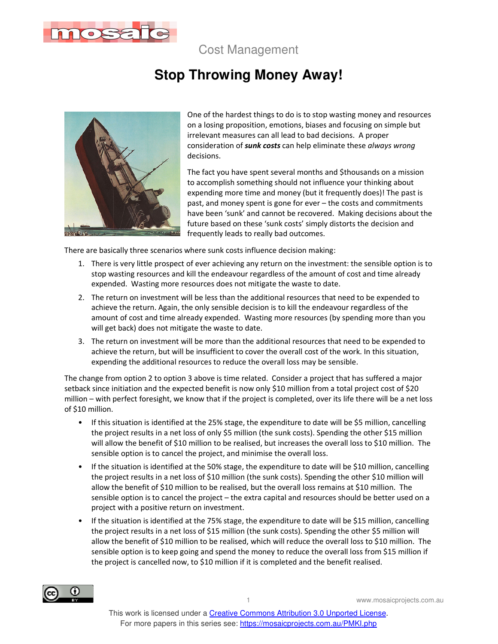

Cost Management

# **Stop Throwing Money Away!**



One of the hardest things to do is to stop wasting money and resources on a losing proposition, emotions, biases and focusing on simple but irrelevant measures can all lead to bad decisions. A proper consideration of *sunk costs* can help eliminate these *always wrong* decisions.

The fact you have spent several months and \$thousands on a mission to accomplish something should not influence your thinking about expending more time and money (but it frequently does)! The past is past, and money spent is gone for ever – the costs and commitments have been 'sunk' and cannot be recovered. Making decisions about the future based on these 'sunk costs' simply distorts the decision and frequently leads to really bad outcomes.

There are basically three scenarios where sunk costs influence decision making:

- 1. There is very little prospect of ever achieving any return on the investment: the sensible option is to stop wasting resources and kill the endeavour regardless of the amount of cost and time already expended. Wasting more resources does not mitigate the waste to date.
- 2. The return on investment will be less than the additional resources that need to be expended to achieve the return. Again, the only sensible decision is to kill the endeavour regardless of the amount of cost and time already expended. Wasting more resources (by spending more than you will get back) does not mitigate the waste to date.
- 3. The return on investment will be more than the additional resources that need to be expended to achieve the return, but will be insufficient to cover the overall cost of the work. In this situation, expending the additional resources to reduce the overall loss may be sensible.

The change from option 2 to option 3 above is time related. Consider a project that has suffered a major setback since initiation and the expected benefit is now only \$10 million from a total project cost of \$20 million – with perfect foresight, we know that if the project is completed, over its life there will be a net loss of \$10 million.

- If this situation is identified at the 25% stage, the expenditure to date will be \$5 million, cancelling the project results in a net loss of only \$5 million (the sunk costs). Spending the other \$15 million will allow the benefit of \$10 million to be realised, but increases the overall loss to \$10 million. The sensible option is to cancel the project, and minimise the overall loss.
- If the situation is identified at the 50% stage, the expenditure to date will be \$10 million, cancelling the project results in a net loss of \$10 million (the sunk costs). Spending the other \$10 million will allow the benefit of \$10 million to be realised, but the overall loss remains at \$10 million. The sensible option is to cancel the project – the extra capital and resources should be better used on a project with a positive return on investment.
- If the situation is identified at the 75% stage, the expenditure to date will be \$15 million, cancelling the project results in a net loss of \$15 million (the sunk costs). Spending the other \$5 million will allow the benefit of \$10 million to be realised, which will reduce the overall loss to \$10 million. The sensible option is to keep going and spend the money to reduce the overall loss from \$15 million if the project is cancelled now, to \$10 million if it is completed and the benefit realised.



1 www.mosaicprojects.com.au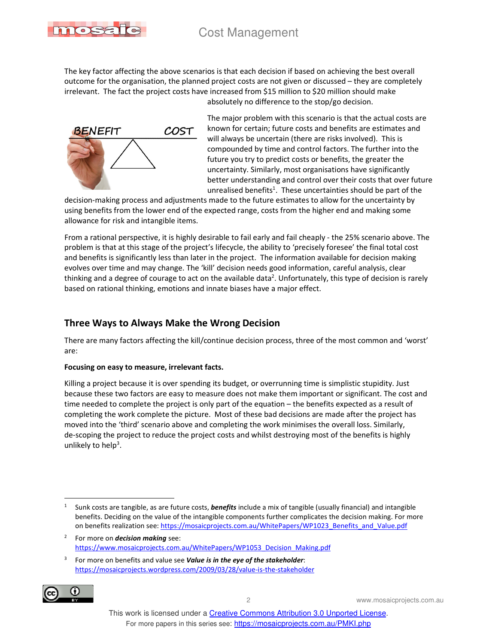

The key factor affecting the above scenarios is that each decision if based on achieving the best overall outcome for the organisation, the planned project costs are not given or discussed – they are completely irrelevant. The fact the project costs have increased from \$15 million to \$20 million should make absolutely no difference to the stop/go decision.



The major problem with this scenario is that the actual costs are known for certain; future costs and benefits are estimates and will always be uncertain (there are risks involved). This is compounded by time and control factors. The further into the future you try to predict costs or benefits, the greater the uncertainty. Similarly, most organisations have significantly better understanding and control over their costs that over future unrealised benefits<sup>1</sup>. These uncertainties should be part of the

decision-making process and adjustments made to the future estimates to allow for the uncertainty by using benefits from the lower end of the expected range, costs from the higher end and making some allowance for risk and intangible items.

From a rational perspective, it is highly desirable to fail early and fail cheaply - the 25% scenario above. The problem is that at this stage of the project's lifecycle, the ability to 'precisely foresee' the final total cost and benefits is significantly less than later in the project. The information available for decision making evolves over time and may change. The 'kill' decision needs good information, careful analysis, clear thinking and a degree of courage to act on the available data<sup>2</sup>. Unfortunately, this type of decision is rarely based on rational thinking, emotions and innate biases have a major effect.

# **Three Ways to Always Make the Wrong Decision**

There are many factors affecting the kill/continue decision process, three of the most common and 'worst' are:

## **Focusing on easy to measure, irrelevant facts.**

Killing a project because it is over spending its budget, or overrunning time is simplistic stupidity. Just because these two factors are easy to measure does not make them important or significant. The cost and time needed to complete the project is only part of the equation – the benefits expected as a result of completing the work complete the picture. Most of these bad decisions are made after the project has moved into the 'third' scenario above and completing the work minimises the overall loss. Similarly, de-scoping the project to reduce the project costs and whilst destroying most of the benefits is highly unlikely to help<sup>3</sup>.

<sup>3</sup> For more on benefits and value see *Value is in the eye of the stakeholder*: https://mosaicprojects.wordpress.com/2009/03/28/value-is-the-stakeholder



 1 Sunk costs are tangible, as are future costs, *benefits* include a mix of tangible (usually financial) and intangible benefits. Deciding on the value of the intangible components further complicates the decision making. For more on benefits realization see: https://mosaicprojects.com.au/WhitePapers/WP1023\_Benefits\_and\_Value.pdf

<sup>2</sup> For more on *decision making* see: https://www.mosaicprojects.com.au/WhitePapers/WP1053\_Decision\_Making.pdf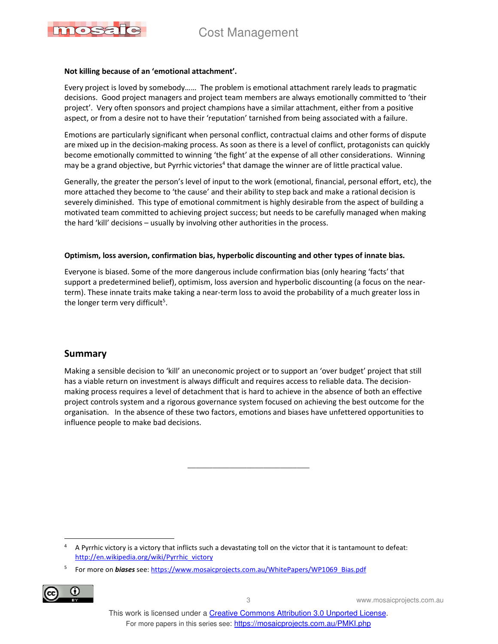

#### **Not killing because of an 'emotional attachment'.**

Every project is loved by somebody…… The problem is emotional attachment rarely leads to pragmatic decisions. Good project managers and project team members are always emotionally committed to 'their project'. Very often sponsors and project champions have a similar attachment, either from a positive aspect, or from a desire not to have their 'reputation' tarnished from being associated with a failure.

Emotions are particularly significant when personal conflict, contractual claims and other forms of dispute are mixed up in the decision-making process. As soon as there is a level of conflict, protagonists can quickly become emotionally committed to winning 'the fight' at the expense of all other considerations. Winning may be a grand objective, but Pyrrhic victories<sup>4</sup> that damage the winner are of little practical value.

Generally, the greater the person's level of input to the work (emotional, financial, personal effort, etc), the more attached they become to 'the cause' and their ability to step back and make a rational decision is severely diminished. This type of emotional commitment is highly desirable from the aspect of building a motivated team committed to achieving project success; but needs to be carefully managed when making the hard 'kill' decisions – usually by involving other authorities in the process.

#### **Optimism, loss aversion, confirmation bias, hyperbolic discounting and other types of innate bias.**

Everyone is biased. Some of the more dangerous include confirmation bias (only hearing 'facts' that support a predetermined belief), optimism, loss aversion and hyperbolic discounting (a focus on the nearterm). These innate traits make taking a near-term loss to avoid the probability of a much greater loss in the longer term very difficult<sup>5</sup>.

## **Summary**

Making a sensible decision to 'kill' an uneconomic project or to support an 'over budget' project that still has a viable return on investment is always difficult and requires access to reliable data. The decisionmaking process requires a level of detachment that is hard to achieve in the absence of both an effective project controls system and a rigorous governance system focused on achieving the best outcome for the organisation. In the absence of these two factors, emotions and biases have unfettered opportunities to influence people to make bad decisions.

\_\_\_\_\_\_\_\_\_\_\_\_\_\_\_\_\_\_\_\_\_\_\_\_\_\_\_\_\_

<sup>5</sup> For more on *biases* see: https://www.mosaicprojects.com.au/WhitePapers/WP1069\_Bias.pdf



3 www.mosaicprojects.com.au

<sup>4</sup> 4 A Pyrrhic victory is a victory that inflicts such a devastating toll on the victor that it is tantamount to defeat: http://en.wikipedia.org/wiki/Pyrrhic\_victory